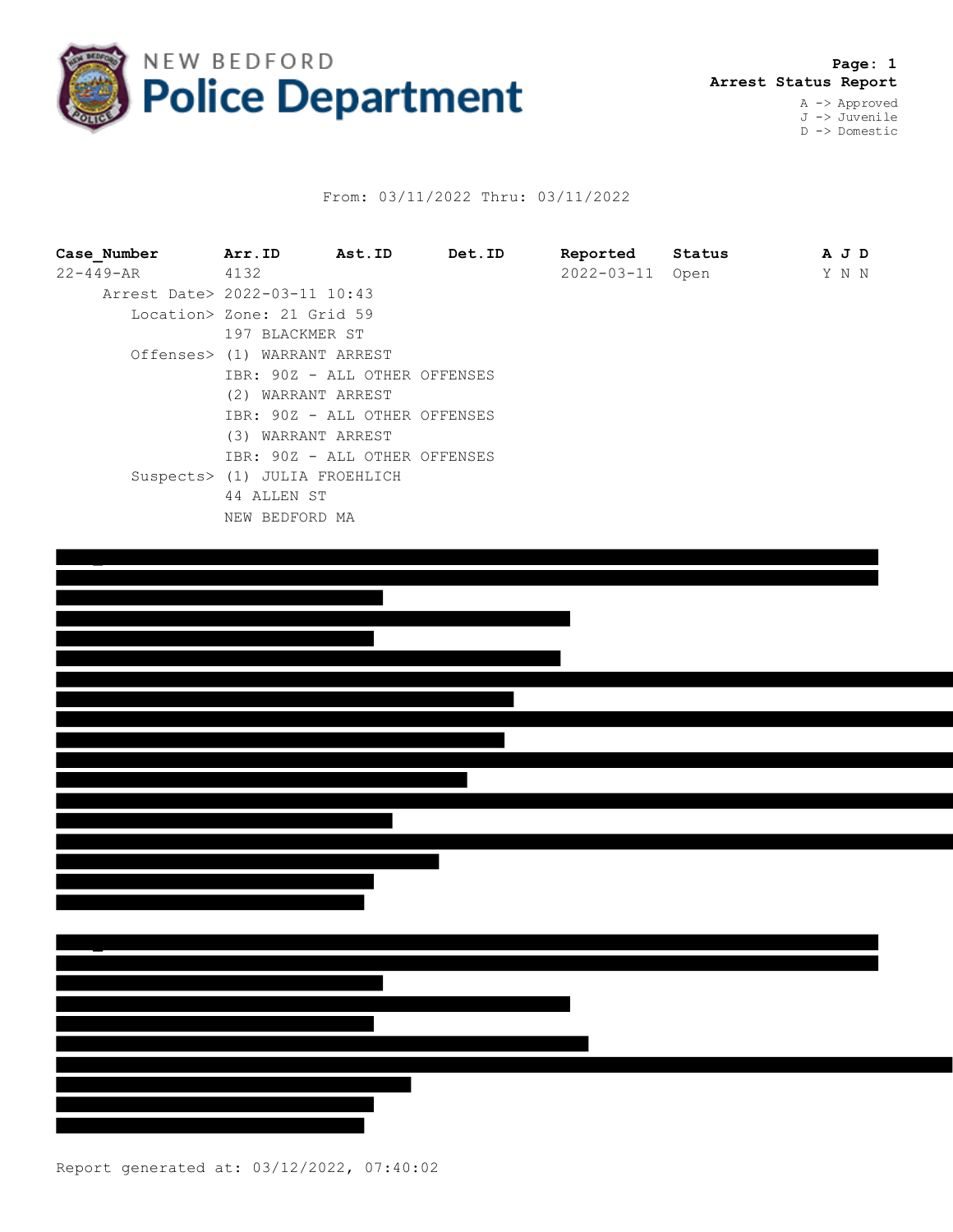

## From: 03/11/2022 Thru: 03/11/2022

| Case Number                   | Arr.ID Ast.ID                 | Det.ID | Reported   | Status | A J D |  |
|-------------------------------|-------------------------------|--------|------------|--------|-------|--|
| $22 - 449 - AR$ 4132          |                               |        | 2022-03-11 | Open   | Y N N |  |
| Arrest Date> 2022-03-11 10:43 |                               |        |            |        |       |  |
|                               | Location> Zone: 21 Grid 59    |        |            |        |       |  |
|                               | 197 BLACKMER ST               |        |            |        |       |  |
|                               | Offenses> (1) WARRANT ARREST  |        |            |        |       |  |
|                               | IBR: 90Z - ALL OTHER OFFENSES |        |            |        |       |  |
|                               | (2) WARRANT ARREST            |        |            |        |       |  |
|                               | IBR: 90Z - ALL OTHER OFFENSES |        |            |        |       |  |
|                               | (3) WARRANT ARREST            |        |            |        |       |  |
|                               | IBR: 90Z - ALL OTHER OFFENSES |        |            |        |       |  |
|                               | Suspects> (1) JULIA FROEHLICH |        |            |        |       |  |
|                               | 44 ALLEN ST                   |        |            |        |       |  |
|                               | NEW BEDFORD MA                |        |            |        |       |  |
|                               |                               |        |            |        |       |  |